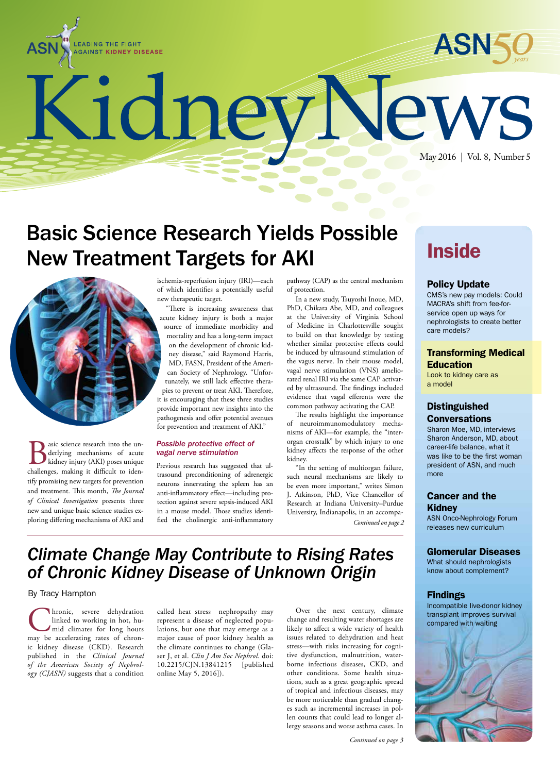



KidneyNew May 2016 | Vol. 8, Number 5

# Basic Science Research Yields Possible New Treatment Targets for AKI



**B** asic science research into the underlying mechanisms of acute<br>kidney injury (AKI) poses unique<br>challenges, making it difficult to idenderlying mechanisms of acute kidney injury (AKI) poses unique challenges, making it difficult to identify promising new targets for prevention and treatment. This month, *The Journal of Clinical Investigation* presents three new and unique basic science studies exploring differing mechanisms of AKI and

ischemia-reperfusion injury (IRI)—each of which identifies a potentially useful new therapeutic target.

"There is increasing awareness that acute kidney injury is both a major source of immediate morbidity and mortality and has a long-term impact on the development of chronic kidney disease," said Raymond Harris, MD, FASN, President of the American Society of Nephrology. "Unfortunately, we still lack effective therapies to prevent or treat AKI. Therefore, it is encouraging that these three studies provide important new insights into the pathogenesis and offer potential avenues for prevention and treatment of AKI."

#### *Possible protective effect of vagal nerve stimulation*

Previous research has suggested that ultrasound preconditioning of adrenergic neurons innervating the spleen has an anti-inflammatory effect—including protection against severe sepsis-induced AKI in a mouse model. Those studies identified the cholinergic anti-inflammatory

pathway (CAP) as the central mechanism of protection.

In a new study, Tsuyoshi Inoue, MD, PhD, Chikara Abe, MD, and colleagues at the University of Virginia School of Medicine in Charlottesville sought to build on that knowledge by testing whether similar protective effects could be induced by ultrasound stimulation of the vagus nerve. In their mouse model, vagal nerve stimulation (VNS) ameliorated renal IRI via the same CAP activated by ultrasound. The findings included evidence that vagal efferents were the common pathway activating the CAP.

The results highlight the importance of neuroimmunomodulatory mechanisms of AKI—for example, the "interorgan crosstalk" by which injury to one kidney affects the response of the other kidney.

"In the setting of multiorgan failure, such neural mechanisms are likely to be even more important," writes Simon J. Atkinson, PhD, Vice Chancellor of Research at Indiana University–Purdue University, Indianapolis, in an accompa-*Continued on page 2*

# **Inside**

### Policy Update

CMS's new pay models: Could MACRA's shift from fee-forservice open up ways for nephrologists to create better care models?

### Transforming Medical Education

Look to kidney care as a model

## Distinguished **Conversations**

Sharon Moe, MD, interviews Sharon Anderson, MD, about career-life balance, what it was like to be the first woman president of ASN, and much more

### Cancer and the Kidney

ASN Onco-Nephrology Forum releases new curriculum

### Glomerular Diseases

What should nephrologists know about complement?

### Findings

Incompatible live-donor kidney transplant improves survival compared with waiting



# *Climate Change May Contribute to Rising Rates of Chronic Kidney Disease of Unknown Origin*

### By Tracy Hampton

Chronic, severe dehydration<br>
linked to working in hot, hu-<br>
mid climates for long hours<br>
may be accelerating rates of chronlinked to working in hot, humid climates for long hours ic kidney disease (CKD). Research published in the *Clinical Journal of the American Society of Nephrology (CJASN)* suggests that a condition

called heat stress nephropathy may represent a disease of neglected populations, but one that may emerge as a major cause of poor kidney health as the climate continues to change (Glaser J, et al. *Clin J Am Soc Nephrol*. doi: 10.2215/CJN.13841215 online May 5, 2016]).

Over the next century, climate change and resulting water shortages are likely to affect a wide variety of health issues related to dehydration and heat stress—with risks increasing for cognitive dysfunction, malnutrition, waterborne infectious diseases, CKD, and other conditions. Some health situations, such as a great geographic spread of tropical and infectious diseases, may be more noticeable than gradual changes such as incremental increases in pollen counts that could lead to longer allergy seasons and worse asthma cases. In